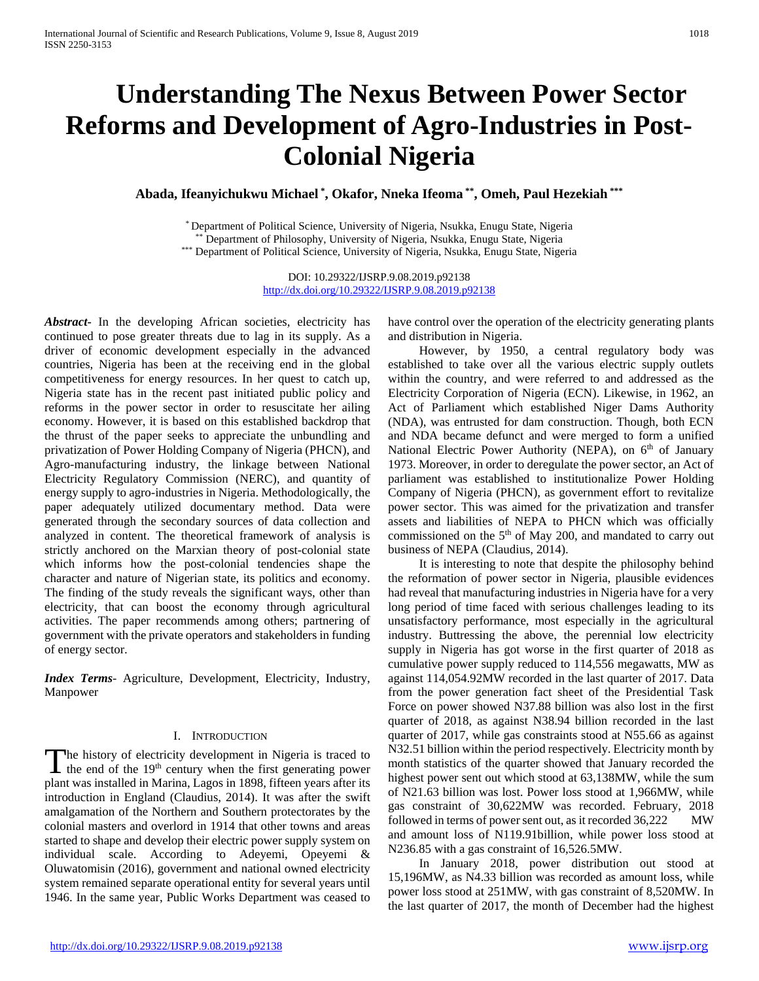# **Understanding The Nexus Between Power Sector Reforms and Development of Agro-Industries in Post-Colonial Nigeria**

**Abada, Ifeanyichukwu Michael \* , Okafor, Nneka Ifeoma \*\*, Omeh, Paul Hezekiah \*\*\***

\* Department of Political Science, University of Nigeria, Nsukka, Enugu State, Nigeria \*\* Department of Philosophy, University of Nigeria, Nsukka, Enugu State, Nigeria \*\*\* Department of Political Science, University of Nigeria, Nsukka, Enugu State, Nigeria

DOI: 10.29322/IJSRP.9.08.2019.p92138 <http://dx.doi.org/10.29322/IJSRP.9.08.2019.p92138>

*Abstract***-** In the developing African societies, electricity has continued to pose greater threats due to lag in its supply. As a driver of economic development especially in the advanced countries, Nigeria has been at the receiving end in the global competitiveness for energy resources. In her quest to catch up, Nigeria state has in the recent past initiated public policy and reforms in the power sector in order to resuscitate her ailing economy. However, it is based on this established backdrop that the thrust of the paper seeks to appreciate the unbundling and privatization of Power Holding Company of Nigeria (PHCN), and Agro-manufacturing industry, the linkage between National Electricity Regulatory Commission (NERC), and quantity of energy supply to agro-industries in Nigeria. Methodologically, the paper adequately utilized documentary method. Data were generated through the secondary sources of data collection and analyzed in content. The theoretical framework of analysis is strictly anchored on the Marxian theory of post-colonial state which informs how the post-colonial tendencies shape the character and nature of Nigerian state, its politics and economy. The finding of the study reveals the significant ways, other than electricity, that can boost the economy through agricultural activities. The paper recommends among others; partnering of government with the private operators and stakeholders in funding of energy sector.

*Index Terms*- Agriculture, Development, Electricity, Industry, Manpower

## I. INTRODUCTION

The history of electricity development in Nigeria is traced to the end of the  $19<sup>th</sup>$  century when the first generating power  $\blacktriangle$  the end of the 19<sup>th</sup> century when the first generating power plant was installed in Marina, Lagos in 1898, fifteen years after its introduction in England (Claudius, 2014). It was after the swift amalgamation of the Northern and Southern protectorates by the colonial masters and overlord in 1914 that other towns and areas started to shape and develop their electric power supply system on individual scale. According to Adeyemi, Opeyemi & Oluwatomisin (2016), government and national owned electricity system remained separate operational entity for several years until 1946. In the same year, Public Works Department was ceased to

have control over the operation of the electricity generating plants and distribution in Nigeria.

 However, by 1950, a central regulatory body was established to take over all the various electric supply outlets within the country, and were referred to and addressed as the Electricity Corporation of Nigeria (ECN). Likewise, in 1962, an Act of Parliament which established Niger Dams Authority (NDA), was entrusted for dam construction. Though, both ECN and NDA became defunct and were merged to form a unified National Electric Power Authority (NEPA), on 6<sup>th</sup> of January 1973. Moreover, in order to deregulate the power sector, an Act of parliament was established to institutionalize Power Holding Company of Nigeria (PHCN), as government effort to revitalize power sector. This was aimed for the privatization and transfer assets and liabilities of NEPA to PHCN which was officially commissioned on the 5<sup>th</sup> of May 200, and mandated to carry out business of NEPA (Claudius, 2014).

 It is interesting to note that despite the philosophy behind the reformation of power sector in Nigeria, plausible evidences had reveal that manufacturing industries in Nigeria have for a very long period of time faced with serious challenges leading to its unsatisfactory performance, most especially in the agricultural industry. Buttressing the above, the perennial low electricity supply in Nigeria has got worse in the first quarter of 2018 as cumulative power supply reduced to 114,556 megawatts, MW as against 114,054.92MW recorded in the last quarter of 2017. Data from the power generation fact sheet of the Presidential Task Force on power showed N37.88 billion was also lost in the first quarter of 2018, as against N38.94 billion recorded in the last quarter of 2017, while gas constraints stood at N55.66 as against N32.51 billion within the period respectively. Electricity month by month statistics of the quarter showed that January recorded the highest power sent out which stood at 63,138MW, while the sum of N21.63 billion was lost. Power loss stood at 1,966MW, while gas constraint of 30,622MW was recorded. February, 2018 followed in terms of power sent out, as it recorded 36,222 MW and amount loss of N119.91billion, while power loss stood at N236.85 with a gas constraint of 16,526.5MW.

 In January 2018, power distribution out stood at 15,196MW, as N4.33 billion was recorded as amount loss, while power loss stood at 251MW, with gas constraint of 8,520MW. In the last quarter of 2017, the month of December had the highest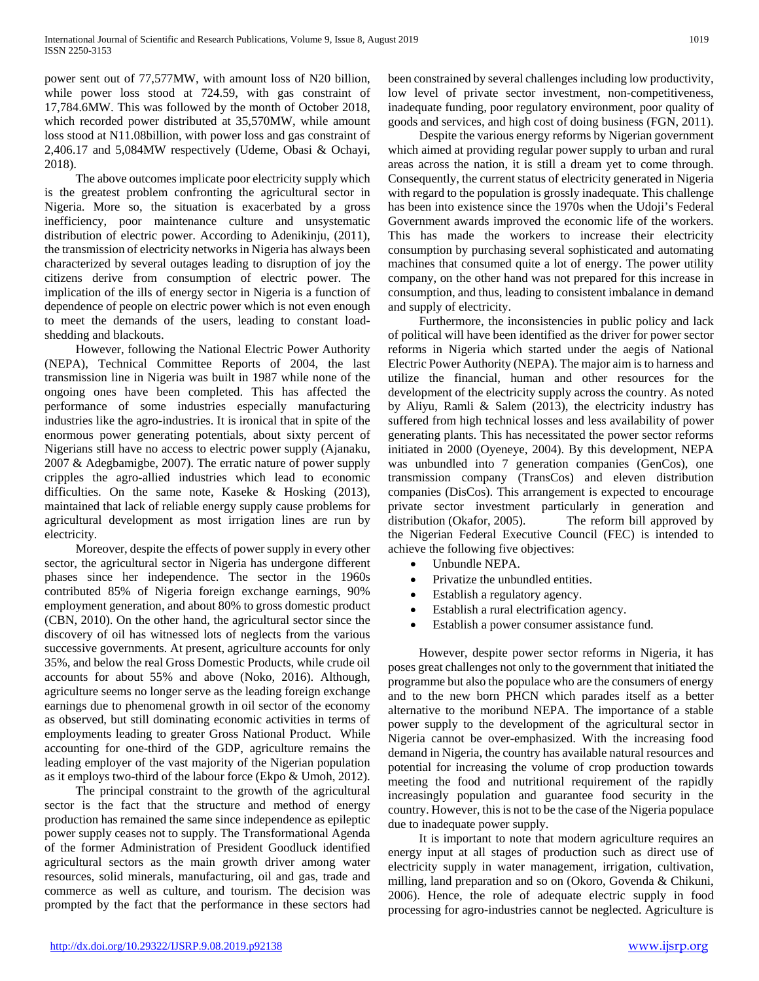power sent out of 77,577MW, with amount loss of N20 billion, while power loss stood at 724.59, with gas constraint of 17,784.6MW. This was followed by the month of October 2018, which recorded power distributed at 35,570MW, while amount loss stood at N11.08billion, with power loss and gas constraint of 2,406.17 and 5,084MW respectively (Udeme, Obasi & Ochayi, 2018).

 The above outcomes implicate poor electricity supply which is the greatest problem confronting the agricultural sector in Nigeria. More so, the situation is exacerbated by a gross inefficiency, poor maintenance culture and unsystematic distribution of electric power. According to Adenikinju, (2011), the transmission of electricity networks in Nigeria has always been characterized by several outages leading to disruption of joy the citizens derive from consumption of electric power. The implication of the ills of energy sector in Nigeria is a function of dependence of people on electric power which is not even enough to meet the demands of the users, leading to constant loadshedding and blackouts.

 However, following the National Electric Power Authority (NEPA), Technical Committee Reports of 2004, the last transmission line in Nigeria was built in 1987 while none of the ongoing ones have been completed. This has affected the performance of some industries especially manufacturing industries like the agro-industries. It is ironical that in spite of the enormous power generating potentials, about sixty percent of Nigerians still have no access to electric power supply (Ajanaku, 2007 & Adegbamigbe, 2007). The erratic nature of power supply cripples the agro-allied industries which lead to economic difficulties. On the same note, Kaseke & Hosking (2013), maintained that lack of reliable energy supply cause problems for agricultural development as most irrigation lines are run by electricity.

 Moreover, despite the effects of power supply in every other sector, the agricultural sector in Nigeria has undergone different phases since her independence. The sector in the 1960s contributed 85% of Nigeria foreign exchange earnings, 90% employment generation, and about 80% to gross domestic product (CBN, 2010). On the other hand, the agricultural sector since the discovery of oil has witnessed lots of neglects from the various successive governments. At present, agriculture accounts for only 35%, and below the real Gross Domestic Products, while crude oil accounts for about 55% and above (Noko, 2016). Although, agriculture seems no longer serve as the leading foreign exchange earnings due to phenomenal growth in oil sector of the economy as observed, but still dominating economic activities in terms of employments leading to greater Gross National Product. While accounting for one-third of the GDP, agriculture remains the leading employer of the vast majority of the Nigerian population as it employs two-third of the labour force (Ekpo & Umoh, 2012).

 The principal constraint to the growth of the agricultural sector is the fact that the structure and method of energy production has remained the same since independence as epileptic power supply ceases not to supply. The Transformational Agenda of the former Administration of President Goodluck identified agricultural sectors as the main growth driver among water resources, solid minerals, manufacturing, oil and gas, trade and commerce as well as culture, and tourism. The decision was prompted by the fact that the performance in these sectors had been constrained by several challenges including low productivity, low level of private sector investment, non-competitiveness, inadequate funding, poor regulatory environment, poor quality of goods and services, and high cost of doing business (FGN, 2011).

 Despite the various energy reforms by Nigerian government which aimed at providing regular power supply to urban and rural areas across the nation, it is still a dream yet to come through. Consequently, the current status of electricity generated in Nigeria with regard to the population is grossly inadequate. This challenge has been into existence since the 1970s when the Udoji's Federal Government awards improved the economic life of the workers. This has made the workers to increase their electricity consumption by purchasing several sophisticated and automating machines that consumed quite a lot of energy. The power utility company, on the other hand was not prepared for this increase in consumption, and thus, leading to consistent imbalance in demand and supply of electricity.

 Furthermore, the inconsistencies in public policy and lack of political will have been identified as the driver for power sector reforms in Nigeria which started under the aegis of National Electric Power Authority (NEPA). The major aim is to harness and utilize the financial, human and other resources for the development of the electricity supply across the country. As noted by Aliyu, Ramli & Salem (2013), the electricity industry has suffered from high technical losses and less availability of power generating plants. This has necessitated the power sector reforms initiated in 2000 (Oyeneye, 2004). By this development, NEPA was unbundled into 7 generation companies (GenCos), one transmission company (TransCos) and eleven distribution companies (DisCos). This arrangement is expected to encourage private sector investment particularly in generation and distribution (Okafor, 2005). The reform bill approved by the Nigerian Federal Executive Council (FEC) is intended to achieve the following five objectives:

- Unbundle NEPA.
- Privatize the unbundled entities.
- Establish a regulatory agency.
- Establish a rural electrification agency.
- Establish a power consumer assistance fund.

 However, despite power sector reforms in Nigeria, it has poses great challenges not only to the government that initiated the programme but also the populace who are the consumers of energy and to the new born PHCN which parades itself as a better alternative to the moribund NEPA. The importance of a stable power supply to the development of the agricultural sector in Nigeria cannot be over-emphasized. With the increasing food demand in Nigeria, the country has available natural resources and potential for increasing the volume of crop production towards meeting the food and nutritional requirement of the rapidly increasingly population and guarantee food security in the country. However, this is not to be the case of the Nigeria populace due to inadequate power supply.

 It is important to note that modern agriculture requires an energy input at all stages of production such as direct use of electricity supply in water management, irrigation, cultivation, milling, land preparation and so on (Okoro, Govenda & Chikuni, 2006). Hence, the role of adequate electric supply in food processing for agro-industries cannot be neglected. Agriculture is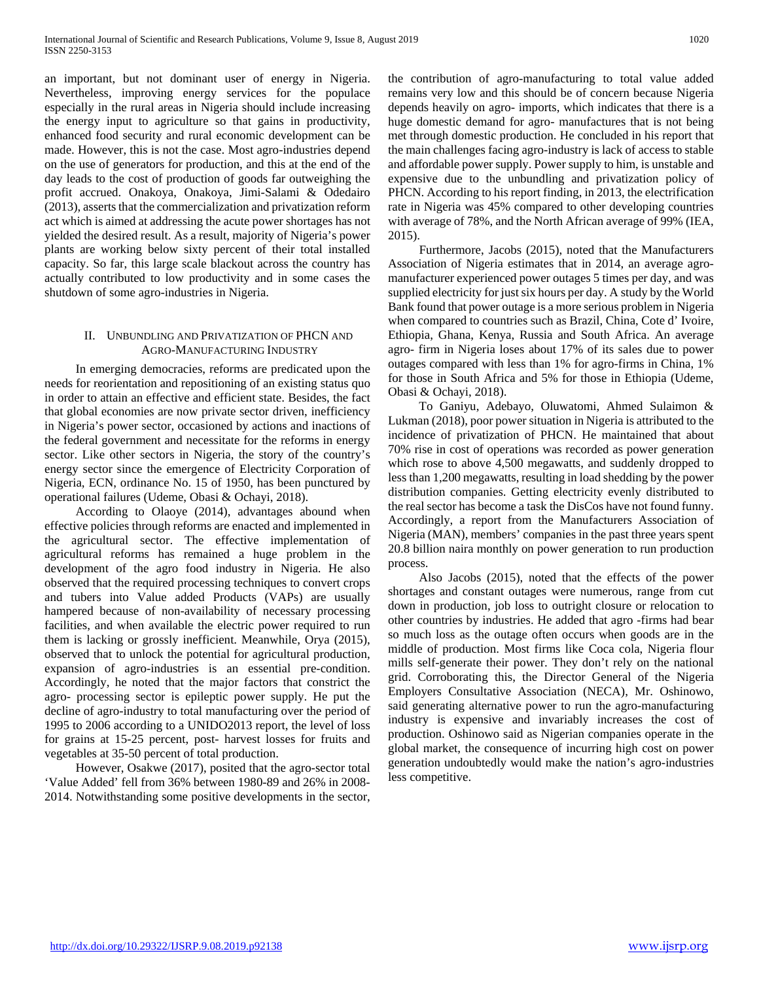an important, but not dominant user of energy in Nigeria. Nevertheless, improving energy services for the populace especially in the rural areas in Nigeria should include increasing the energy input to agriculture so that gains in productivity, enhanced food security and rural economic development can be made. However, this is not the case. Most agro-industries depend on the use of generators for production, and this at the end of the day leads to the cost of production of goods far outweighing the profit accrued. Onakoya, Onakoya, Jimi-Salami & Odedairo (2013), asserts that the commercialization and privatization reform act which is aimed at addressing the acute power shortages has not yielded the desired result. As a result, majority of Nigeria's power plants are working below sixty percent of their total installed capacity. So far, this large scale blackout across the country has actually contributed to low productivity and in some cases the shutdown of some agro-industries in Nigeria.

## II. UNBUNDLING AND PRIVATIZATION OF PHCN AND AGRO-MANUFACTURING INDUSTRY

 In emerging democracies, reforms are predicated upon the needs for reorientation and repositioning of an existing status quo in order to attain an effective and efficient state. Besides, the fact that global economies are now private sector driven, inefficiency in Nigeria's power sector, occasioned by actions and inactions of the federal government and necessitate for the reforms in energy sector. Like other sectors in Nigeria, the story of the country's energy sector since the emergence of Electricity Corporation of Nigeria, ECN, ordinance No. 15 of 1950, has been punctured by operational failures (Udeme, Obasi & Ochayi, 2018).

 According to Olaoye (2014), advantages abound when effective policies through reforms are enacted and implemented in the agricultural sector. The effective implementation of agricultural reforms has remained a huge problem in the development of the agro food industry in Nigeria. He also observed that the required processing techniques to convert crops and tubers into Value added Products (VAPs) are usually hampered because of non-availability of necessary processing facilities, and when available the electric power required to run them is lacking or grossly inefficient. Meanwhile, Orya (2015), observed that to unlock the potential for agricultural production, expansion of agro-industries is an essential pre-condition. Accordingly, he noted that the major factors that constrict the agro- processing sector is epileptic power supply. He put the decline of agro-industry to total manufacturing over the period of 1995 to 2006 according to a UNIDO2013 report, the level of loss for grains at 15-25 percent, post- harvest losses for fruits and vegetables at 35-50 percent of total production.

 However, Osakwe (2017), posited that the agro-sector total 'Value Added' fell from 36% between 1980-89 and 26% in 2008- 2014. Notwithstanding some positive developments in the sector, the contribution of agro-manufacturing to total value added remains very low and this should be of concern because Nigeria depends heavily on agro- imports, which indicates that there is a huge domestic demand for agro- manufactures that is not being met through domestic production. He concluded in his report that the main challenges facing agro-industry is lack of access to stable and affordable power supply. Power supply to him, is unstable and expensive due to the unbundling and privatization policy of PHCN. According to his report finding, in 2013, the electrification rate in Nigeria was 45% compared to other developing countries with average of 78%, and the North African average of 99% (IEA, 2015).

 Furthermore, Jacobs (2015), noted that the Manufacturers Association of Nigeria estimates that in 2014, an average agromanufacturer experienced power outages 5 times per day, and was supplied electricity for just six hours per day. A study by the World Bank found that power outage is a more serious problem in Nigeria when compared to countries such as Brazil, China, Cote d' Ivoire, Ethiopia, Ghana, Kenya, Russia and South Africa. An average agro- firm in Nigeria loses about 17% of its sales due to power outages compared with less than 1% for agro-firms in China, 1% for those in South Africa and 5% for those in Ethiopia (Udeme, Obasi & Ochayi, 2018).

 To Ganiyu, Adebayo, Oluwatomi, Ahmed Sulaimon & Lukman (2018), poor power situation in Nigeria is attributed to the incidence of privatization of PHCN. He maintained that about 70% rise in cost of operations was recorded as power generation which rose to above 4,500 megawatts, and suddenly dropped to less than 1,200 megawatts, resulting in load shedding by the power distribution companies. Getting electricity evenly distributed to the real sector has become a task the DisCos have not found funny. Accordingly, a report from the Manufacturers Association of Nigeria (MAN), members' companies in the past three years spent 20.8 billion naira monthly on power generation to run production process.

 Also Jacobs (2015), noted that the effects of the power shortages and constant outages were numerous, range from cut down in production, job loss to outright closure or relocation to other countries by industries. He added that agro -firms had bear so much loss as the outage often occurs when goods are in the middle of production. Most firms like Coca cola, Nigeria flour mills self-generate their power. They don't rely on the national grid. Corroborating this, the Director General of the Nigeria Employers Consultative Association (NECA), Mr. Oshinowo, said generating alternative power to run the agro-manufacturing industry is expensive and invariably increases the cost of production. Oshinowo said as Nigerian companies operate in the global market, the consequence of incurring high cost on power generation undoubtedly would make the nation's agro-industries less competitive.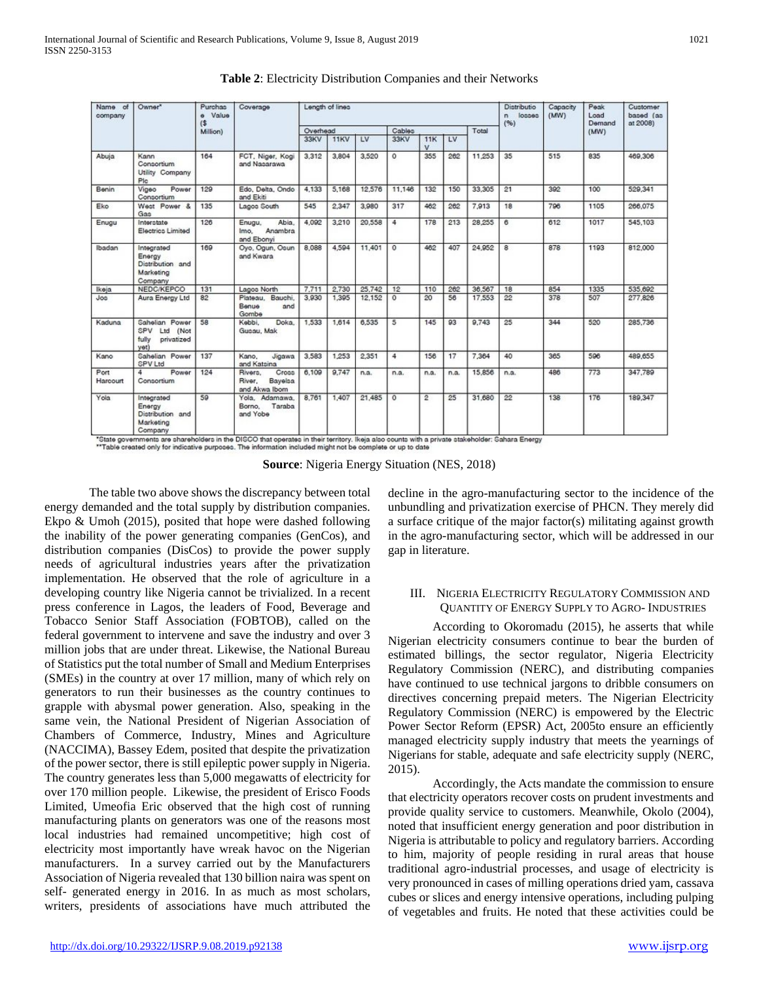| Name of<br>company | Owner*                                                           | Purchas<br>Value<br>$\ddot{\theta}$<br>$($ \$ | Coverage                                               | Length of lines |             |                 |            |                    |      | Distributio<br>losses<br>n<br>(96) | Capacity<br>(MW) | Peak<br>Load<br>Demand | Customer<br>based (as<br>at 2008). |         |
|--------------------|------------------------------------------------------------------|-----------------------------------------------|--------------------------------------------------------|-----------------|-------------|-----------------|------------|--------------------|------|------------------------------------|------------------|------------------------|------------------------------------|---------|
|                    |                                                                  | Million)                                      |                                                        | Overhead        |             |                 | Cables     |                    |      | Total                              |                  |                        | (MW)                               |         |
|                    |                                                                  |                                               |                                                        | 33KV            | <b>11KV</b> | $\overline{1V}$ | 33KV       | 11K<br>$\mathbf v$ | LV   |                                    |                  |                        |                                    |         |
| Abuja              | Kann<br>Consortium<br>Utility Company<br>Plc                     | 164                                           | FCT, Niger, Kogi<br>and Nasarawa                       | 3,312           | 3,804       | 3,520           | $\circ$    | 355                | 262  | 11,253                             | 35               | 515                    | 835                                | 469,306 |
| Benin              | Power<br>Vigeo<br>Consortium                                     | 129                                           | Edo, Delta, Ondo<br>and Ekiti                          | 4.133           | 5,168       | 12,576          | 11,146     | 132                | 150  | 33,305                             | 21               | 392                    | 100                                | 529,341 |
| Eko                | West Power &<br>Gas                                              | 135                                           | Lagoo South                                            | 545             | 2,347       | 3,980           | 317        | 462                | 262  | 7,913                              | 18               | 796                    | 1105                               | 266,075 |
| Enugu              | Interatate<br>Electrico Limited                                  | 126                                           | Abia.<br>Enugu.<br>Anambra<br>Imo.<br>and Ebonyi       | 4.092           | 3,210       | 20,558          | 4          | 178                | 213  | 28.255                             | 6                | 612                    | 1017                               | 545,103 |
| Ibadan             | Integrated<br>Energy<br>Distribution and<br>Marketing<br>Company | 169                                           | Oyo, Ogun, Osun<br>and Kwara                           | 8,088           | 4,594       | 11,401          | $\Omega$   | 462                | 407  | 24,952                             | 8                | 878                    | 1193                               | 812,000 |
| Ikeja              | NEDC/KEPCO                                                       | 131                                           | Lagos North                                            | 7,711           | 2,730       | 25.742          | 12         | 110                | 262  | 36,567                             | 18               | 854                    | 1335                               | 535.692 |
| Jos                | Aura Energy Ltd                                                  | 82                                            | Plateau. Bauchi.<br>Benue<br>and<br>Gombe              | 3,930           | 1,395       | 12,152          | $\circ$    | 20                 | 56   | 17,553                             | 22               | 378                    | 507                                | 277,826 |
| Kaduna             | Sahelian Power<br>SPV<br>Ltd (Not<br>fully<br>privatized<br>vet) | 58                                            | Kebbi.<br>Doka.<br>Gusau, Mak                          | 1,533           | 1,614       | 6,535           | 5          | 145                | 93   | 9,743                              | 25               | 344                    | 520                                | 285,736 |
| Kano               | Sahelian Power<br><b>SPV Ltd</b>                                 | 137                                           | Kano.<br><b>Jigawa</b><br>and Katsina                  | 3,583           | 1,253       | 2.351           | 4          | 156                | 17   | 7,364                              | 40               | 365                    | 596                                | 489,655 |
| Port<br>Harcourt   | Power<br>4<br>Consortium                                         | 124                                           | Cross<br>Rivero.<br>Bayelsa<br>River.<br>and Akwa Ibom | 6,109           | 9.747       | n.a.            | n.a.       | n.a.               | n.a. | 15.856                             | n.a.             | 486                    | 773                                | 347,789 |
| Yola               | Integrated<br>Energy<br>Distribution and<br>Marketing<br>Company | 59                                            | Yola, Adamawa,<br>Taraba<br>Borno.<br>and Yobe         | 8,761           | 1,407       | 21,485          | $^{\circ}$ | 2                  | 25   | 31,680                             | 22               | 138                    | 176                                | 189,347 |

**Table 2**: Electricity Distribution Companies and their Networks

"State governments are shareholders in the DISCO that operates in their territory. Ikeja also counts with a private stakeholder: Sahara Energy<br>""Table created only for indicative purposes. The information included might no

**Source**: Nigeria Energy Situation (NES, 2018)

The table two above shows the discrepancy between total energy demanded and the total supply by distribution companies. Ekpo & Umoh (2015), posited that hope were dashed following the inability of the power generating companies (GenCos), and distribution companies (DisCos) to provide the power supply needs of agricultural industries years after the privatization implementation. He observed that the role of agriculture in a developing country like Nigeria cannot be trivialized. In a recent press conference in Lagos, the leaders of Food, Beverage and Tobacco Senior Staff Association (FOBTOB), called on the federal government to intervene and save the industry and over 3 million jobs that are under threat. Likewise, the National Bureau of Statistics put the total number of Small and Medium Enterprises (SMEs) in the country at over 17 million, many of which rely on generators to run their businesses as the country continues to grapple with abysmal power generation. Also, speaking in the same vein, the National President of Nigerian Association of Chambers of Commerce, Industry, Mines and Agriculture (NACCIMA), Bassey Edem, posited that despite the privatization of the power sector, there is still epileptic power supply in Nigeria. The country generates less than 5,000 megawatts of electricity for over 170 million people. Likewise, the president of Erisco Foods Limited, Umeofia Eric observed that the high cost of running manufacturing plants on generators was one of the reasons most local industries had remained uncompetitive; high cost of electricity most importantly have wreak havoc on the Nigerian manufacturers. In a survey carried out by the Manufacturers Association of Nigeria revealed that 130 billion naira was spent on self- generated energy in 2016. In as much as most scholars, writers, presidents of associations have much attributed the

decline in the agro-manufacturing sector to the incidence of the unbundling and privatization exercise of PHCN. They merely did a surface critique of the major factor(s) militating against growth in the agro-manufacturing sector, which will be addressed in our gap in literature.

# III. NIGERIA ELECTRICITY REGULATORY COMMISSION AND QUANTITY OF ENERGY SUPPLY TO AGRO- INDUSTRIES

According to Okoromadu (2015), he asserts that while Nigerian electricity consumers continue to bear the burden of estimated billings, the sector regulator, Nigeria Electricity Regulatory Commission (NERC), and distributing companies have continued to use technical jargons to dribble consumers on directives concerning prepaid meters. The Nigerian Electricity Regulatory Commission (NERC) is empowered by the Electric Power Sector Reform (EPSR) Act, 2005to ensure an efficiently managed electricity supply industry that meets the yearnings of Nigerians for stable, adequate and safe electricity supply (NERC, 2015).

Accordingly, the Acts mandate the commission to ensure that electricity operators recover costs on prudent investments and provide quality service to customers. Meanwhile, Okolo (2004), noted that insufficient energy generation and poor distribution in Nigeria is attributable to policy and regulatory barriers. According to him, majority of people residing in rural areas that house traditional agro-industrial processes, and usage of electricity is very pronounced in cases of milling operations dried yam, cassava cubes or slices and energy intensive operations, including pulping of vegetables and fruits. He noted that these activities could be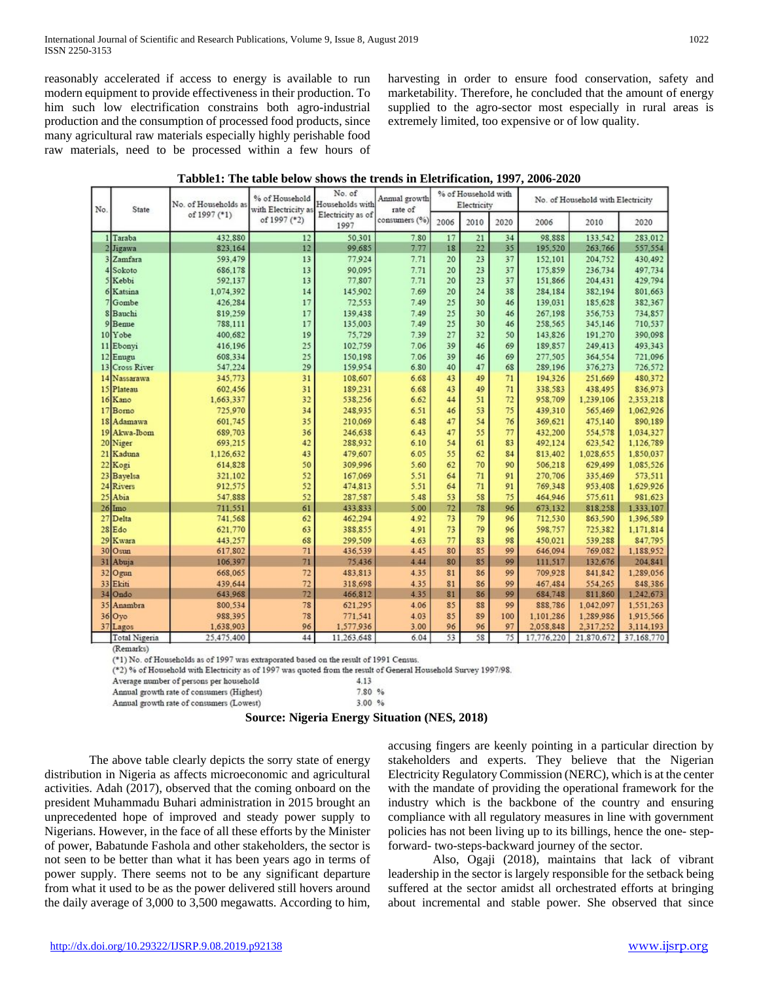reasonably accelerated if access to energy is available to run modern equipment to provide effectiveness in their production. To him such low electrification constrains both agro-industrial production and the consumption of processed food products, since many agricultural raw materials especially highly perishable food raw materials, need to be processed within a few hours of harvesting in order to ensure food conservation, safety and marketability. Therefore, he concluded that the amount of energy supplied to the agro-sector most especially in rural areas is extremely limited, too expensive or of low quality.

| Tabble1: The table below shows the trends in Eletrification, 1997, 2006-2020 |  |
|------------------------------------------------------------------------------|--|
|------------------------------------------------------------------------------|--|

| No. | State          | No. of Households as<br>of 1997 (*1) | % of Household<br>with Electricity as | No. of<br>Households with | Annual growth<br>rate of | % of Household with<br>Electricity |                |      | No. of Household with Electricity |            |            |
|-----|----------------|--------------------------------------|---------------------------------------|---------------------------|--------------------------|------------------------------------|----------------|------|-----------------------------------|------------|------------|
|     |                |                                      | of 1997 (*2)                          | Electricity as of<br>1997 | consumers (%)            | 2006                               | 2010           | 2020 | 2006                              | 2010       | 2020       |
|     | 1 Taraba       | 432.880                              | 12                                    | 50.301                    | 7.80                     | 17                                 | 21             | 34   | 98.888                            | 133,542    | 283.012    |
|     | 2 Jigawa       | 823,164                              | 12                                    | 99,685                    | 7.77                     | 18                                 | 22             | 35   | 195,520                           | 263,766    | 557,554    |
|     | 3 Zamfara      | 593,479                              | 13                                    | 77.924                    | 7.71                     | 20                                 | 2 <sub>3</sub> | 37   | 152,101                           | 204.752    | 430.492    |
|     | 4 Sokoto       | 686.178                              | 13                                    | 90,095                    | 7.71                     | 20                                 | 23             | 37   | 175,859                           | 236,734    | 497,734    |
|     | 5 Kebbi        | 592.137                              | 13                                    | 77,807                    | 7.71                     | 20                                 | 23             | 37   | 151.866                           | 204.431    | 429.794    |
|     | 6 Katsina      | 1.074.392                            | 14                                    | 145,902                   | 7.69                     | 20                                 | 24             | 38   | 284.184                           | 382.194    | 801.663    |
|     | Gombe          | 426,284                              | 17                                    | 72,553                    | 7.49                     | 25                                 | 30             | 46   | 139,031                           | 185,628    | 382,367    |
|     | 8 Bauchi       | 819,259                              | 17                                    | 139,438                   | 7.49                     | 25                                 | 30             | 46   | 267,198                           | 356,753    | 734,857    |
|     | Benue          | 788,111                              | 17                                    | 135,003                   | 7.49                     | 25                                 | 30             | 46   | 258.565                           | 345,146    | 710.537    |
|     | 10 Yobe        | 400.682                              | 19                                    | 75.729                    | 7.39                     | 27                                 | 32             | 50   | 143.826                           | 191.270    | 390.098    |
|     | 11 Ebonyi      | 416,196                              | 25                                    | 102.759                   | 7.06                     | 39                                 | 46             | 69   | 189,857                           | 249,413    | 493,343    |
|     | 12 Enugu       | 608,334                              | 25                                    | 150,198                   | 7.06                     | 39                                 | 46             | 69   | 277.505                           | 364,554    | 721.096    |
|     | 13 Cross River | 547,224                              | 29                                    | 159,954                   | 6.80                     | 40                                 | 47             | 68   | 289,196                           | 376,273    | 726,572    |
|     | 14 Nassarawa   | 345,773                              | 31                                    | 108,607                   | 6.68                     | 43                                 | 49             | 71   | 194.326                           | 251.669    | 480.372    |
|     | 15 Plateau     | 602.456                              | 31                                    | 189.231                   | 6.68                     | 43                                 | 49             | 71   | 338.583                           | 438.495    | 836,973    |
|     | 16 Kano        | 1.663.337                            | 32                                    | 538,256                   | 6.62                     | 44                                 | 51             | 72   | 958,709                           | 1,239,106  | 2.353.218  |
|     | 17 Borno       | 725,970                              | 34                                    | 248,935                   | 6.51                     | 46                                 | 53             | 75   | 439.310                           | 565,469    | 1.062.926  |
|     | 18 Adamawa     | 601.745                              | 35                                    | 210,069                   | 6.48                     | 47                                 | 54             | 76   | 369.621                           | 475,140    | 890,189    |
|     | 19 Akwa-Ibom   | 689,703                              | 36                                    | 246,638                   | 6.43                     | 47                                 | 55             | 77   | 432.200                           | 554,578    | 1.034.327  |
|     | 20 Niger       | 693.215                              | 42                                    | 288,932                   | 6.10                     | 54                                 | 61             | 83   | 492,124                           | 623.542    | 1.126.789  |
|     | 21 Kaduna      | 1.126.632                            | 43                                    | 479,607                   | 6.05                     | 55                                 | 62             | 84   | 813,402                           | 1,028,655  | 1,850,037  |
|     | 22 Kogi        | 614,828                              | 50                                    | 309.996                   | 5.60                     | 62                                 | 70             | 90   | 506.218                           | 629,499    | 1,085,526  |
|     | 23 Bayelsa     | 321.102                              | 52                                    | 167,069                   | 5.51                     | 64                                 | 71             | 91   | 270,706                           | 335,469    | 573,511    |
|     | 24 Rivers      | 912,575                              | 52                                    | 474.813                   | 5.51                     | 64                                 | 71             | 91   | 769,348                           | 953.408    | 1.629.926  |
|     | 25 Abia        | 547,888                              | 52                                    | 287,587                   | 5.48                     | 53                                 | 58             | 75   | 464.946                           | 575.611    | 981.623    |
|     | $26$ Imo       | 711,551                              | 61                                    | 433,833                   | 5.00                     | 72                                 | 78             | 96   | 673.132                           | 818,258    | 1.333,107  |
|     | 27 Delta       | 741,568                              | 62                                    | 462,294                   | 4.92                     | 73                                 | 79             | 96   | 712,530                           | 863,590    | 1.396.589  |
|     | $28$ Edo       | 621,770                              | 63                                    | 388,855                   | 4.91                     | 73                                 | 79             | 96   | 598,757                           | 725,382    | 1.171.814  |
|     | 29 Kwara       | 443.257                              | 68                                    | 299,509                   | 4.63                     | 77                                 | 83             | 98   | 450.021                           | 539.288    | 847.795    |
|     | 30 Osun        | 617,802                              | 71                                    | 436,539                   | 4.45                     | 80                                 | 85             | 99   | 646,094                           | 769,082    | 1,188,952  |
|     | 31 Abuja       | 106.397                              | 71                                    | 75.436                    | 4.44                     | 80                                 | 85             | 99   | 111.517                           | 132.676    | 204.841    |
|     | 32 Ogun        | 668,065                              | 72                                    | 483.813                   | 4.35                     | 81                                 | 86             | 99   | 709,928                           | 841.842    | 1.289.056  |
|     | 33 Ekiti       | 439,644                              | 72                                    | 318,698                   | 4.35                     | 81                                 | 86             | 99   | 467,484                           | 554,265    | 848.386    |
|     | 34 Ondo        | 643,968                              | 72                                    | 466.812                   | 4.35                     | 81                                 | 86             | 99   | 684.748                           | 811.860    | 1.242.673  |
|     | 35 Anambra     | 800.534                              | 78                                    | 621,295                   | 4.06                     | 85                                 | 88             | 99   | 888.786                           | 1.042.097  | 1.551.263  |
|     | $36$ Oyo       | 988,395                              | 78                                    | 771,541                   | 4.03                     | 85                                 | 89             | 100  | 1,101,286                         | 1,289,986  | 1,915,566  |
|     | 37 Lagos       | 1,638,903                            | 96                                    | 1.577.936                 | 3.00                     | 96                                 | 96             | 97   | 2,058,848                         | 2,317,252  | 3,114,193  |
|     | Total Nigeria  | 25.475.400                           | 44                                    | 11.263.648                | 6.04                     | 53                                 | 58             | 75   | 17.776.220                        | 21.870.672 | 37.168.770 |

(Remarks)

(\*1) No. of Households as of 1997 was extraporated based on the result of 1991 Census.

(\*2) % of Household with Electricity as of 1997 was quoted from the result of General Household Survey 1997/98.

Average number of persons per household Annual growth rate of consumers (Highest)

Annual growth rate of consumers (Lowest)

|       |       | <b>Source: Nigeria Energy Situation (NES, 2018)</b> |  |
|-------|-------|-----------------------------------------------------|--|
| west) | 3.00% |                                                     |  |

4.13

7.80 %

The above table clearly depicts the sorry state of energy distribution in Nigeria as affects microeconomic and agricultural activities. Adah (2017), observed that the coming onboard on the president Muhammadu Buhari administration in 2015 brought an unprecedented hope of improved and steady power supply to Nigerians. However, in the face of all these efforts by the Minister of power, Babatunde Fashola and other stakeholders, the sector is not seen to be better than what it has been years ago in terms of power supply. There seems not to be any significant departure from what it used to be as the power delivered still hovers around the daily average of 3,000 to 3,500 megawatts. According to him,

accusing fingers are keenly pointing in a particular direction by stakeholders and experts. They believe that the Nigerian Electricity Regulatory Commission (NERC), which is at the center with the mandate of providing the operational framework for the industry which is the backbone of the country and ensuring compliance with all regulatory measures in line with government policies has not been living up to its billings, hence the one- stepforward- two-steps-backward journey of the sector.

Also, Ogaji (2018), maintains that lack of vibrant leadership in the sector is largely responsible for the setback being suffered at the sector amidst all orchestrated efforts at bringing about incremental and stable power. She observed that since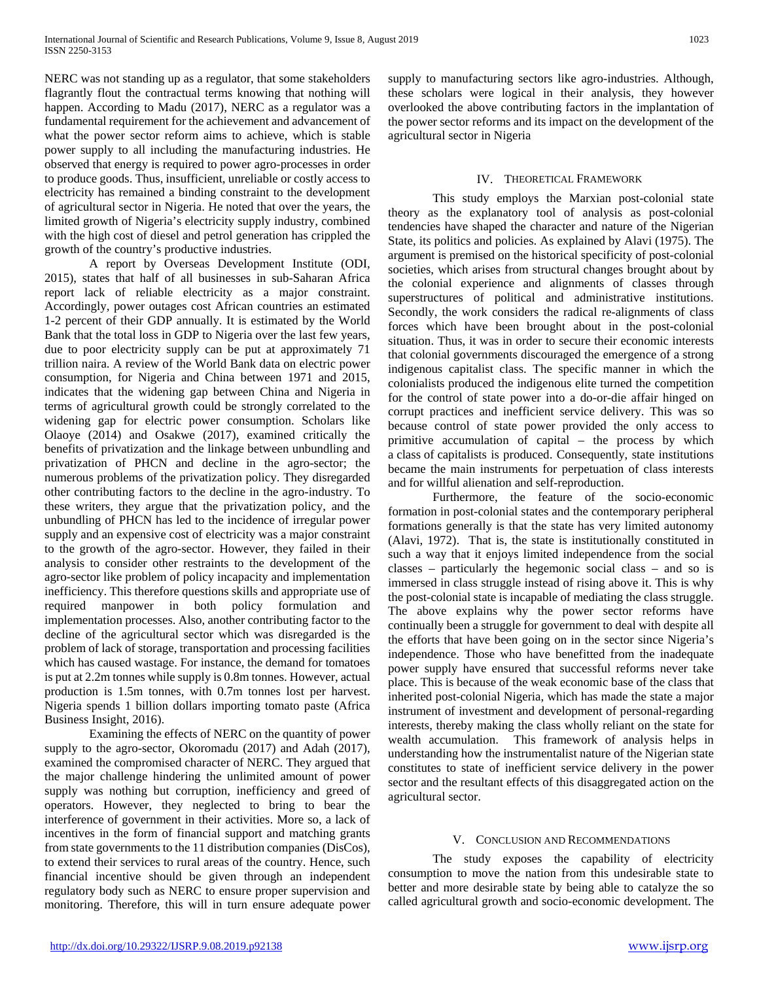NERC was not standing up as a regulator, that some stakeholders flagrantly flout the contractual terms knowing that nothing will happen. According to Madu (2017), NERC as a regulator was a fundamental requirement for the achievement and advancement of what the power sector reform aims to achieve, which is stable power supply to all including the manufacturing industries. He observed that energy is required to power agro-processes in order to produce goods. Thus, insufficient, unreliable or costly access to electricity has remained a binding constraint to the development of agricultural sector in Nigeria. He noted that over the years, the limited growth of Nigeria's electricity supply industry, combined with the high cost of diesel and petrol generation has crippled the growth of the country's productive industries.

A report by Overseas Development Institute (ODI, 2015), states that half of all businesses in sub-Saharan Africa report lack of reliable electricity as a major constraint. Accordingly, power outages cost African countries an estimated 1-2 percent of their GDP annually. It is estimated by the World Bank that the total loss in GDP to Nigeria over the last few years, due to poor electricity supply can be put at approximately 71 trillion naira. A review of the World Bank data on electric power consumption, for Nigeria and China between 1971 and 2015, indicates that the widening gap between China and Nigeria in terms of agricultural growth could be strongly correlated to the widening gap for electric power consumption. Scholars like Olaoye (2014) and Osakwe (2017), examined critically the benefits of privatization and the linkage between unbundling and privatization of PHCN and decline in the agro-sector; the numerous problems of the privatization policy. They disregarded other contributing factors to the decline in the agro-industry. To these writers, they argue that the privatization policy, and the unbundling of PHCN has led to the incidence of irregular power supply and an expensive cost of electricity was a major constraint to the growth of the agro-sector. However, they failed in their analysis to consider other restraints to the development of the agro-sector like problem of policy incapacity and implementation inefficiency. This therefore questions skills and appropriate use of required manpower in both policy formulation and implementation processes. Also, another contributing factor to the decline of the agricultural sector which was disregarded is the problem of lack of storage, transportation and processing facilities which has caused wastage. For instance, the demand for tomatoes is put at 2.2m tonnes while supply is 0.8m tonnes. However, actual production is 1.5m tonnes, with 0.7m tonnes lost per harvest. Nigeria spends 1 billion dollars importing tomato paste (Africa Business Insight, 2016).

Examining the effects of NERC on the quantity of power supply to the agro-sector, Okoromadu (2017) and Adah (2017), examined the compromised character of NERC. They argued that the major challenge hindering the unlimited amount of power supply was nothing but corruption, inefficiency and greed of operators. However, they neglected to bring to bear the interference of government in their activities. More so, a lack of incentives in the form of financial support and matching grants from state governments to the 11 distribution companies (DisCos), to extend their services to rural areas of the country. Hence, such financial incentive should be given through an independent regulatory body such as NERC to ensure proper supervision and monitoring. Therefore, this will in turn ensure adequate power

supply to manufacturing sectors like agro-industries. Although, these scholars were logical in their analysis, they however overlooked the above contributing factors in the implantation of the power sector reforms and its impact on the development of the agricultural sector in Nigeria

# IV. THEORETICAL FRAMEWORK

This study employs the Marxian post-colonial state theory as the explanatory tool of analysis as post-colonial tendencies have shaped the character and nature of the Nigerian State, its politics and policies. As explained by Alavi (1975). The argument is premised on the historical specificity of post-colonial societies, which arises from structural changes brought about by the colonial experience and alignments of classes through superstructures of political and administrative institutions. Secondly, the work considers the radical re-alignments of class forces which have been brought about in the post-colonial situation. Thus, it was in order to secure their economic interests that colonial governments discouraged the emergence of a strong indigenous capitalist class. The specific manner in which the colonialists produced the indigenous elite turned the competition for the control of state power into a do-or-die affair hinged on corrupt practices and inefficient service delivery. This was so because control of state power provided the only access to primitive accumulation of capital – the process by which a class of capitalists is produced. Consequently, state institutions became the main instruments for perpetuation of class interests and for willful alienation and self-reproduction.

Furthermore, the feature of the socio-economic formation in post-colonial states and the contemporary peripheral formations generally is that the state has very limited autonomy (Alavi, 1972). That is, the state is institutionally constituted in such a way that it enjoys limited independence from the social classes – particularly the hegemonic social class – and so is immersed in class struggle instead of rising above it. This is why the post-colonial state is incapable of mediating the class struggle. The above explains why the power sector reforms have continually been a struggle for government to deal with despite all the efforts that have been going on in the sector since Nigeria's independence. Those who have benefitted from the inadequate power supply have ensured that successful reforms never take place. This is because of the weak economic base of the class that inherited post-colonial Nigeria, which has made the state a major instrument of investment and development of personal-regarding interests, thereby making the class wholly reliant on the state for wealth accumulation. This framework of analysis helps in understanding how the instrumentalist nature of the Nigerian state constitutes to state of inefficient service delivery in the power sector and the resultant effects of this disaggregated action on the agricultural sector.

## V. CONCLUSION AND RECOMMENDATIONS

The study exposes the capability of electricity consumption to move the nation from this undesirable state to better and more desirable state by being able to catalyze the so called agricultural growth and socio-economic development. The